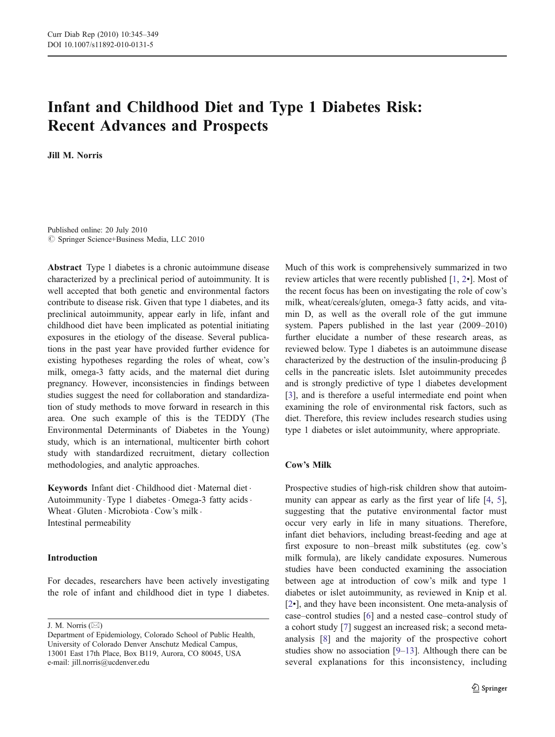# Infant and Childhood Diet and Type 1 Diabetes Risk: Recent Advances and Prospects

Jill M. Norris

Published online: 20 July 2010  $©$  Springer Science+Business Media, LLC 2010

Abstract Type 1 diabetes is a chronic autoimmune disease characterized by a preclinical period of autoimmunity. It is well accepted that both genetic and environmental factors contribute to disease risk. Given that type 1 diabetes, and its preclinical autoimmunity, appear early in life, infant and childhood diet have been implicated as potential initiating exposures in the etiology of the disease. Several publications in the past year have provided further evidence for existing hypotheses regarding the roles of wheat, cow's milk, omega-3 fatty acids, and the maternal diet during pregnancy. However, inconsistencies in findings between studies suggest the need for collaboration and standardization of study methods to move forward in research in this area. One such example of this is the TEDDY (The Environmental Determinants of Diabetes in the Young) study, which is an international, multicenter birth cohort study with standardized recruitment, dietary collection methodologies, and analytic approaches.

Keywords Infant diet . Childhood diet . Maternal diet . Autoimmunity · Type 1 diabetes · Omega-3 fatty acids · Wheat  $\cdot$  Gluten  $\cdot$  Microbiota  $\cdot$  Cow's milk  $\cdot$ Intestinal permeability

#### Introduction

For decades, researchers have been actively investigating the role of infant and childhood diet in type 1 diabetes.

J. M. Norris  $(\boxtimes)$ 

Much of this work is comprehensively summarized in two review articles that were recently published [[1,](#page-3-0) [2](#page-3-0)•]. Most of the recent focus has been on investigating the role of cow's milk, wheat/cereals/gluten, omega-3 fatty acids, and vitamin D, as well as the overall role of the gut immune system. Papers published in the last year (2009–2010) further elucidate a number of these research areas, as reviewed below. Type 1 diabetes is an autoimmune disease characterized by the destruction of the insulin-producing β cells in the pancreatic islets. Islet autoimmunity precedes and is strongly predictive of type 1 diabetes development [\[3](#page-3-0)], and is therefore a useful intermediate end point when examining the role of environmental risk factors, such as diet. Therefore, this review includes research studies using type 1 diabetes or islet autoimmunity, where appropriate.

## Cow's Milk

Prospective studies of high-risk children show that autoim-munity can appear as early as the first year of life [\[4](#page-3-0), [5\]](#page-3-0), suggesting that the putative environmental factor must occur very early in life in many situations. Therefore, infant diet behaviors, including breast-feeding and age at first exposure to non–breast milk substitutes (eg. cow's milk formula), are likely candidate exposures. Numerous studies have been conducted examining the association between age at introduction of cow's milk and type 1 diabetes or islet autoimmunity, as reviewed in Knip et al. [\[2](#page-3-0)•], and they have been inconsistent. One meta-analysis of case–control studies [\[6](#page-3-0)] and a nested case–control study of a cohort study [[7\]](#page-3-0) suggest an increased risk; a second metaanalysis [[8\]](#page-3-0) and the majority of the prospective cohort studies show no association [[9](#page-3-0)–[13\]](#page-3-0). Although there can be several explanations for this inconsistency, including

Department of Epidemiology, Colorado School of Public Health, University of Colorado Denver Anschutz Medical Campus, 13001 East 17th Place, Box B119, Aurora, CO 80045, USA e-mail: jill.norris@ucdenver.edu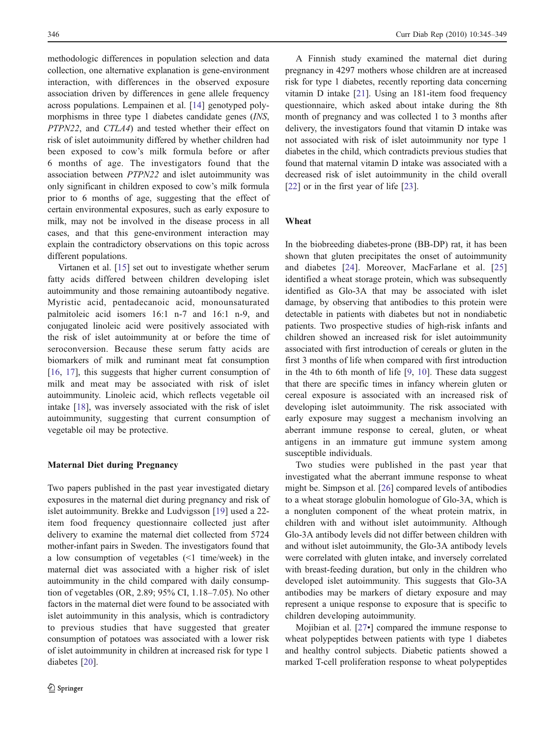methodologic differences in population selection and data collection, one alternative explanation is gene-environment interaction, with differences in the observed exposure association driven by differences in gene allele frequency across populations. Lempainen et al. [[14\]](#page-3-0) genotyped polymorphisms in three type 1 diabetes candidate genes (INS, PTPN22, and CTLA4) and tested whether their effect on risk of islet autoimmunity differed by whether children had been exposed to cow's milk formula before or after 6 months of age. The investigators found that the association between PTPN22 and islet autoimmunity was only significant in children exposed to cow's milk formula prior to 6 months of age, suggesting that the effect of certain environmental exposures, such as early exposure to milk, may not be involved in the disease process in all cases, and that this gene-environment interaction may explain the contradictory observations on this topic across different populations.

Virtanen et al. [\[15](#page-3-0)] set out to investigate whether serum fatty acids differed between children developing islet autoimmunity and those remaining autoantibody negative. Myristic acid, pentadecanoic acid, monounsaturated palmitoleic acid isomers 16:1 n-7 and 16:1 n-9, and conjugated linoleic acid were positively associated with the risk of islet autoimmunity at or before the time of seroconversion. Because these serum fatty acids are biomarkers of milk and ruminant meat fat consumption [\[16](#page-3-0), [17\]](#page-3-0), this suggests that higher current consumption of milk and meat may be associated with risk of islet autoimmunity. Linoleic acid, which reflects vegetable oil intake [\[18](#page-3-0)], was inversely associated with the risk of islet autoimmunity, suggesting that current consumption of vegetable oil may be protective.

#### Maternal Diet during Pregnancy

Two papers published in the past year investigated dietary exposures in the maternal diet during pregnancy and risk of islet autoimmunity. Brekke and Ludvigsson [[19\]](#page-3-0) used a 22 item food frequency questionnaire collected just after delivery to examine the maternal diet collected from 5724 mother-infant pairs in Sweden. The investigators found that a low consumption of vegetables (<1 time/week) in the maternal diet was associated with a higher risk of islet autoimmunity in the child compared with daily consumption of vegetables (OR, 2.89; 95% CI, 1.18–7.05). No other factors in the maternal diet were found to be associated with islet autoimmunity in this analysis, which is contradictory to previous studies that have suggested that greater consumption of potatoes was associated with a lower risk of islet autoimmunity in children at increased risk for type 1 diabetes [[20\]](#page-3-0).

A Finnish study examined the maternal diet during pregnancy in 4297 mothers whose children are at increased risk for type 1 diabetes, recently reporting data concerning vitamin D intake [[21\]](#page-3-0). Using an 181-item food frequency questionnaire, which asked about intake during the 8th month of pregnancy and was collected 1 to 3 months after delivery, the investigators found that vitamin D intake was not associated with risk of islet autoimmunity nor type 1 diabetes in the child, which contradicts previous studies that found that maternal vitamin D intake was associated with a decreased risk of islet autoimmunity in the child overall [\[22](#page-3-0)] or in the first year of life [[23\]](#page-3-0).

## Wheat

In the biobreeding diabetes-prone (BB-DP) rat, it has been shown that gluten precipitates the onset of autoimmunity and diabetes [[24\]](#page-4-0). Moreover, MacFarlane et al. [[25](#page-4-0)] identified a wheat storage protein, which was subsequently identified as Glo-3A that may be associated with islet damage, by observing that antibodies to this protein were detectable in patients with diabetes but not in nondiabetic patients. Two prospective studies of high-risk infants and children showed an increased risk for islet autoimmunity associated with first introduction of cereals or gluten in the first 3 months of life when compared with first introduction in the 4th to 6th month of life [\[9](#page-3-0), [10](#page-3-0)]. These data suggest that there are specific times in infancy wherein gluten or cereal exposure is associated with an increased risk of developing islet autoimmunity. The risk associated with early exposure may suggest a mechanism involving an aberrant immune response to cereal, gluten, or wheat antigens in an immature gut immune system among susceptible individuals.

Two studies were published in the past year that investigated what the aberrant immune response to wheat might be. Simpson et al. [\[26](#page-4-0)] compared levels of antibodies to a wheat storage globulin homologue of Glo-3A, which is a nongluten component of the wheat protein matrix, in children with and without islet autoimmunity. Although Glo-3A antibody levels did not differ between children with and without islet autoimmunity, the Glo-3A antibody levels were correlated with gluten intake, and inversely correlated with breast-feeding duration, but only in the children who developed islet autoimmunity. This suggests that Glo-3A antibodies may be markers of dietary exposure and may represent a unique response to exposure that is specific to children developing autoimmunity.

Mojibian et al. [\[27](#page-4-0)•] compared the immune response to wheat polypeptides between patients with type 1 diabetes and healthy control subjects. Diabetic patients showed a marked T-cell proliferation response to wheat polypeptides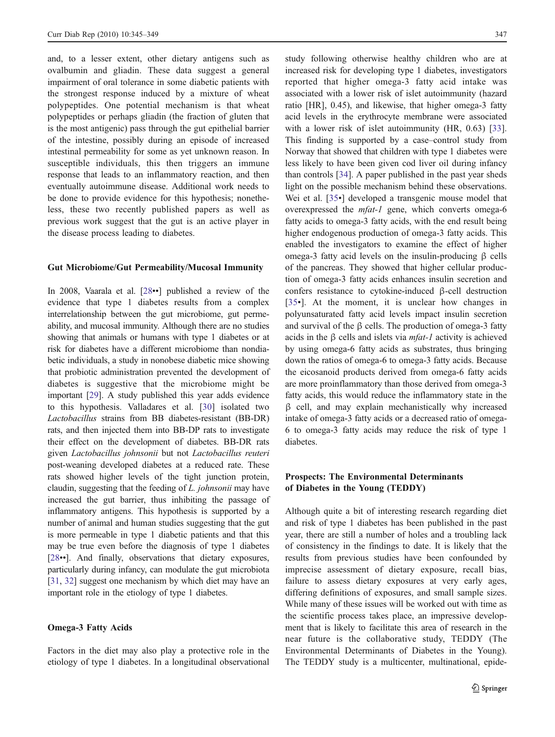and, to a lesser extent, other dietary antigens such as ovalbumin and gliadin. These data suggest a general impairment of oral tolerance in some diabetic patients with the strongest response induced by a mixture of wheat polypeptides. One potential mechanism is that wheat polypeptides or perhaps gliadin (the fraction of gluten that is the most antigenic) pass through the gut epithelial barrier of the intestine, possibly during an episode of increased intestinal permeability for some as yet unknown reason. In susceptible individuals, this then triggers an immune response that leads to an inflammatory reaction, and then eventually autoimmune disease. Additional work needs to be done to provide evidence for this hypothesis; nonetheless, these two recently published papers as well as previous work suggest that the gut is an active player in the disease process leading to diabetes.

#### Gut Microbiome/Gut Permeability/Mucosal Immunity

In 2008, Vaarala et al. [[28](#page-4-0)••] published a review of the evidence that type 1 diabetes results from a complex interrelationship between the gut microbiome, gut permeability, and mucosal immunity. Although there are no studies showing that animals or humans with type 1 diabetes or at risk for diabetes have a different microbiome than nondiabetic individuals, a study in nonobese diabetic mice showing that probiotic administration prevented the development of diabetes is suggestive that the microbiome might be important [[29\]](#page-4-0). A study published this year adds evidence to this hypothesis. Valladares et al. [\[30](#page-4-0)] isolated two Lactobacillus strains from BB diabetes-resistant (BB-DR) rats, and then injected them into BB-DP rats to investigate their effect on the development of diabetes. BB-DR rats given Lactobacillus johnsonii but not Lactobacillus reuteri post-weaning developed diabetes at a reduced rate. These rats showed higher levels of the tight junction protein, claudin, suggesting that the feeding of L. johnsonii may have increased the gut barrier, thus inhibiting the passage of inflammatory antigens. This hypothesis is supported by a number of animal and human studies suggesting that the gut is more permeable in type 1 diabetic patients and that this may be true even before the diagnosis of type 1 diabetes [\[28](#page-4-0)••]. And finally, observations that dietary exposures, particularly during infancy, can modulate the gut microbiota [\[31,](#page-4-0) [32](#page-4-0)] suggest one mechanism by which diet may have an important role in the etiology of type 1 diabetes.

## Omega-3 Fatty Acids

Factors in the diet may also play a protective role in the etiology of type 1 diabetes. In a longitudinal observational study following otherwise healthy children who are at increased risk for developing type 1 diabetes, investigators reported that higher omega-3 fatty acid intake was associated with a lower risk of islet autoimmunity (hazard ratio [HR], 0.45), and likewise, that higher omega-3 fatty acid levels in the erythrocyte membrane were associated with a lower risk of islet autoimmunity (HR, 0.63) [[33\]](#page-4-0). This finding is supported by a case–control study from Norway that showed that children with type 1 diabetes were less likely to have been given cod liver oil during infancy than controls [[34\]](#page-4-0). A paper published in the past year sheds light on the possible mechanism behind these observations. Wei et al. [\[35](#page-4-0)•] developed a transgenic mouse model that overexpressed the mfat-1 gene, which converts omega-6 fatty acids to omega-3 fatty acids, with the end result being higher endogenous production of omega-3 fatty acids. This enabled the investigators to examine the effect of higher omega-3 fatty acid levels on the insulin-producing β cells of the pancreas. They showed that higher cellular production of omega-3 fatty acids enhances insulin secretion and confers resistance to cytokine-induced β-cell destruction [\[35](#page-4-0)•]. At the moment, it is unclear how changes in polyunsaturated fatty acid levels impact insulin secretion and survival of the β cells. The production of omega-3 fatty acids in the  $\beta$  cells and islets via *mfat-1* activity is achieved by using omega-6 fatty acids as substrates, thus bringing down the ratios of omega-6 to omega-3 fatty acids. Because the eicosanoid products derived from omega-6 fatty acids are more proinflammatory than those derived from omega-3 fatty acids, this would reduce the inflammatory state in the β cell, and may explain mechanistically why increased intake of omega-3 fatty acids or a decreased ratio of omega-6 to omega-3 fatty acids may reduce the risk of type 1 diabetes.

# Prospects: The Environmental Determinants of Diabetes in the Young (TEDDY)

Although quite a bit of interesting research regarding diet and risk of type 1 diabetes has been published in the past year, there are still a number of holes and a troubling lack of consistency in the findings to date. It is likely that the results from previous studies have been confounded by imprecise assessment of dietary exposure, recall bias, failure to assess dietary exposures at very early ages, differing definitions of exposures, and small sample sizes. While many of these issues will be worked out with time as the scientific process takes place, an impressive development that is likely to facilitate this area of research in the near future is the collaborative study, TEDDY (The Environmental Determinants of Diabetes in the Young). The TEDDY study is a multicenter, multinational, epide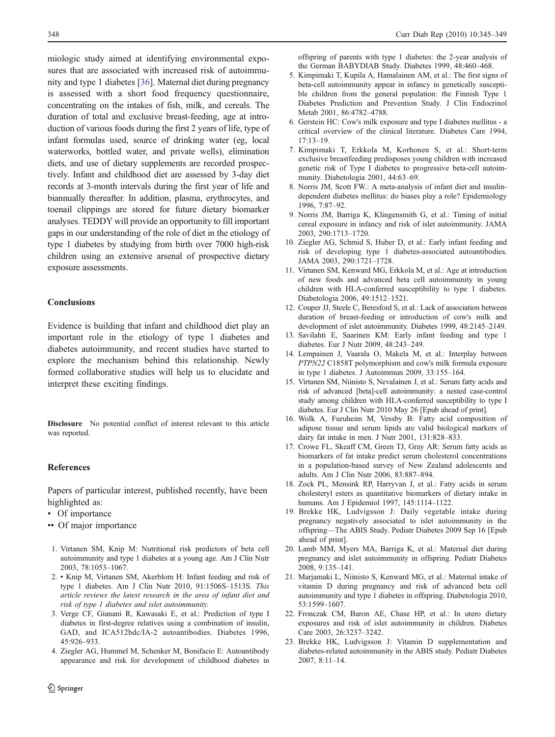<span id="page-3-0"></span>miologic study aimed at identifying environmental exposures that are associated with increased risk of autoimmunity and type 1 diabetes [[36\]](#page-4-0). Maternal diet during pregnancy is assessed with a short food frequency questionnaire, concentrating on the intakes of fish, milk, and cereals. The duration of total and exclusive breast-feeding, age at introduction of various foods during the first 2 years of life, type of infant formulas used, source of drinking water (eg, local waterworks, bottled water, and private wells), elimination diets, and use of dietary supplements are recorded prospectively. Infant and childhood diet are assessed by 3-day diet records at 3-month intervals during the first year of life and biannually thereafter. In addition, plasma, erythrocytes, and toenail clippings are stored for future dietary biomarker analyses. TEDDY will provide an opportunity to fill important gaps in our understanding of the role of diet in the etiology of type 1 diabetes by studying from birth over 7000 high-risk children using an extensive arsenal of prospective dietary exposure assessments.

### Conclusions

Evidence is building that infant and childhood diet play an important role in the etiology of type 1 diabetes and diabetes autoimmunity, and recent studies have started to explore the mechanism behind this relationship. Newly formed collaborative studies will help us to elucidate and interpret these exciting findings.

Disclosure No potential conflict of interest relevant to this article was reported.

### References

Papers of particular interest, published recently, have been highlighted as:

- Of importance
- •• Of major importance
- 1. Virtanen SM, Knip M: Nutritional risk predictors of beta cell autoimmunity and type 1 diabetes at a young age. Am J Clin Nutr 2003, 78:1053–1067.
- 2. Knip M, Virtanen SM, Akerblom H: Infant feeding and risk of type 1 diabetes. Am J Clin Nutr 2010, 91:1506S–1513S. This article reviews the latest research in the area of infant diet and risk of type 1 diabetes and islet autoimmunity.
- 3. Verge CF, Gianani R, Kawasaki E, et al.: Prediction of type I diabetes in first-degree relatives using a combination of insulin, GAD, and ICA512bdc/IA-2 autoantibodies. Diabetes 1996, 45:926–933.
- 4. Ziegler AG, Hummel M, Schenker M, Bonifacio E: Autoantibody appearance and risk for development of childhood diabetes in

offspring of parents with type 1 diabetes: the 2-year analysis of the German BABYDIAB Study. Diabetes 1999, 48:460–468.

- 5. Kimpimaki T, Kupila A, Hamalainen AM, et al.: The first signs of beta-cell autoimmunity appear in infancy in genetically susceptible children from the general population: the Finnish Type 1 Diabetes Prediction and Prevention Study. J Clin Endocrinol Metab 2001, 86:4782–4788.
- 6. Gerstein HC: Cow's milk exposure and type I diabetes mellitus a critical overview of the clinical literature. Diabetes Care 1994, 17:13–19.
- 7. Kimpimaki T, Erkkola M, Korhonen S, et al.: Short-term exclusive breastfeeding predisposes young children with increased genetic risk of Type I diabetes to progressive beta-cell autoimmunity. Diabetologia 2001, 44:63–69.
- 8. Norris JM, Scott FW.: A meta-analysis of infant diet and insulindependent diabetes mellitus: do biases play a role? Epidemiology 1996, 7:87–92.
- 9. Norris JM, Barriga K, Klingensmith G, et al.: Timing of initial cereal exposure in infancy and risk of islet autoimmunity. JAMA 2003, 290:1713–1720.
- 10. Ziegler AG, Schmid S, Huber D, et al.: Early infant feeding and risk of developing type 1 diabetes-associated autoantibodies. JAMA 2003, 290:1721–1728.
- 11. Virtanen SM, Kenward MG, Erkkola M, et al.: Age at introduction of new foods and advanced beta cell autoimmunity in young children with HLA-conferred susceptibility to type 1 diabetes. Diabetologia 2006, 49:1512–1521.
- 12. Couper JJ, Steele C, Beresford S, et al.: Lack of association between duration of breast-feeding or introduction of cow's milk and development of islet autoimmunity. Diabetes 1999, 48:2145–2149.
- 13. Savilahti E, Saarinen KM: Early infant feeding and type 1 diabetes. Eur J Nutr 2009, 48:243–249.
- 14. Lempainen J, Vaarala O, Makela M, et al.: Interplay between PTPN22 C1858T polymorphism and cow's milk formula exposure in type 1 diabetes. J Autoimmun 2009, 33:155–164.
- 15. Virtanen SM, Niinisto S, Nevalainen J, et al.: Serum fatty acids and risk of advanced [beta]-cell autoimmunity: a nested case-control study among children with HLA-conferred susceptibility to type I diabetes. Eur J Clin Nutr 2010 May 26 [Epub ahead of print].
- 16. Wolk A, Furuheim M, Vessby B: Fatty acid composition of adipose tissue and serum lipids are valid biological markers of dairy fat intake in men. J Nutr 2001, 131:828–833.
- 17. Crowe FL, Skeaff CM, Green TJ, Gray AR: Serum fatty acids as biomarkers of fat intake predict serum cholesterol concentrations in a population-based survey of New Zealand adolescents and adults. Am J Clin Nutr 2006, 83:887–894.
- 18. Zock PL, Mensink RP, Harryvan J, et al.: Fatty acids in serum cholesteryl esters as quantitative biomarkers of dietary intake in humans. Am J Epidemiol 1997, 145:1114–1122.
- 19. Brekke HK, Ludvigsson J: Daily vegetable intake during pregnancy negatively associated to islet autoimmunity in the offspring—The ABIS Study. Pediatr Diabetes 2009 Sep 16 [Epub ahead of print].
- 20. Lamb MM, Myers MA, Barriga K, et al.: Maternal diet during pregnancy and islet autoimmunity in offspring. Pediatr Diabetes 2008, 9:135–141.
- 21. Marjamaki L, Niinisto S, Kenward MG, et al.: Maternal intake of vitamin D during pregnancy and risk of advanced beta cell autoimmunity and type 1 diabetes in offspring. Diabetologia 2010, 53:1599–1607.
- 22. Fronczak CM, Baron AE, Chase HP, et al.: In utero dietary exposures and risk of islet autoimmunity in children. Diabetes Care 2003, 26:3237–3242.
- 23. Brekke HK, Ludvigsson J: Vitamin D supplementation and diabetes-related autoimmunity in the ABIS study. Pediatr Diabetes 2007, 8:11–14.